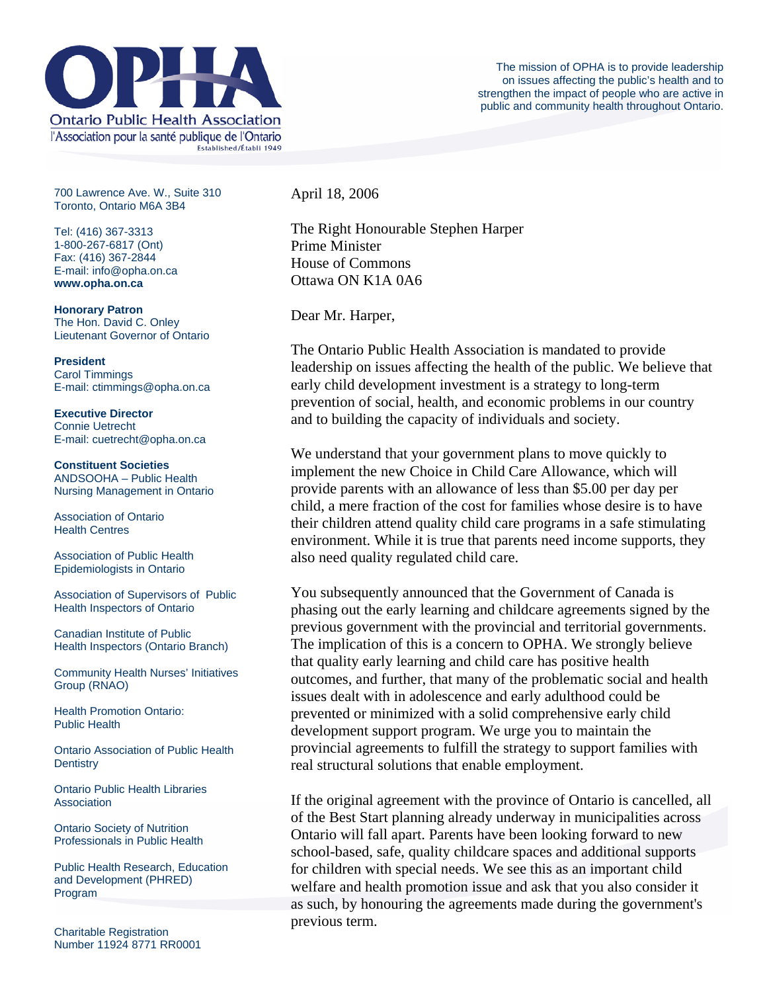

700 Lawrence Ave. W., Suite 310 Toronto, Ontario M6A 3B4

Tel: (416) 367-3313 1-800-267-6817 (Ont) Fax: (416) 367-2844 E-mail: info@opha.on.ca **www.opha.on.ca** 

**Honorary Patron**  The Hon. David C. Onley Lieutenant Governor of Ontario

**President**  Carol Timmings E-mail: ctimmings@opha.on.ca

**Executive Director**  Connie Uetrecht E-mail: cuetrecht@opha.on.ca

**Constituent Societies**  ANDSOOHA – Public Health Nursing Management in Ontario

Association of Ontario Health Centres

Association of Public Health Epidemiologists in Ontario

Association of Supervisors of Public Health Inspectors of Ontario

Canadian Institute of Public Health Inspectors (Ontario Branch)

Community Health Nurses' Initiatives Group (RNAO)

Health Promotion Ontario: Public Health

Ontario Association of Public Health **Dentistry** 

Ontario Public Health Libraries **Association** 

Ontario Society of Nutrition Professionals in Public Health

Public Health Research, Education and Development (PHRED) Program

Charitable Registration Number 11924 8771 RR0001 April 18, 2006

The Right Honourable Stephen Harper Prime Minister House of Commons Ottawa ON K1A 0A6

Dear Mr. Harper,

The Ontario Public Health Association is mandated to provide leadership on issues affecting the health of the public. We believe that early child development investment is a strategy to long-term prevention of social, health, and economic problems in our country and to building the capacity of individuals and society.

We understand that your government plans to move quickly to implement the new Choice in Child Care Allowance, which will provide parents with an allowance of less than \$5.00 per day per child, a mere fraction of the cost for families whose desire is to have their children attend quality child care programs in a safe stimulating environment. While it is true that parents need income supports, they also need quality regulated child care.

You subsequently announced that the Government of Canada is phasing out the early learning and childcare agreements signed by the previous government with the provincial and territorial governments. The implication of this is a concern to OPHA. We strongly believe that quality early learning and child care has positive health outcomes, and further, that many of the problematic social and health issues dealt with in adolescence and early adulthood could be prevented or minimized with a solid comprehensive early child development support program. We urge you to maintain the provincial agreements to fulfill the strategy to support families with real structural solutions that enable employment.

If the original agreement with the province of Ontario is cancelled, all of the Best Start planning already underway in municipalities across Ontario will fall apart. Parents have been looking forward to new school-based, safe, quality childcare spaces and additional supports for children with special needs. We see this as an important child welfare and health promotion issue and ask that you also consider it as such, by honouring the agreements made during the government's previous term.